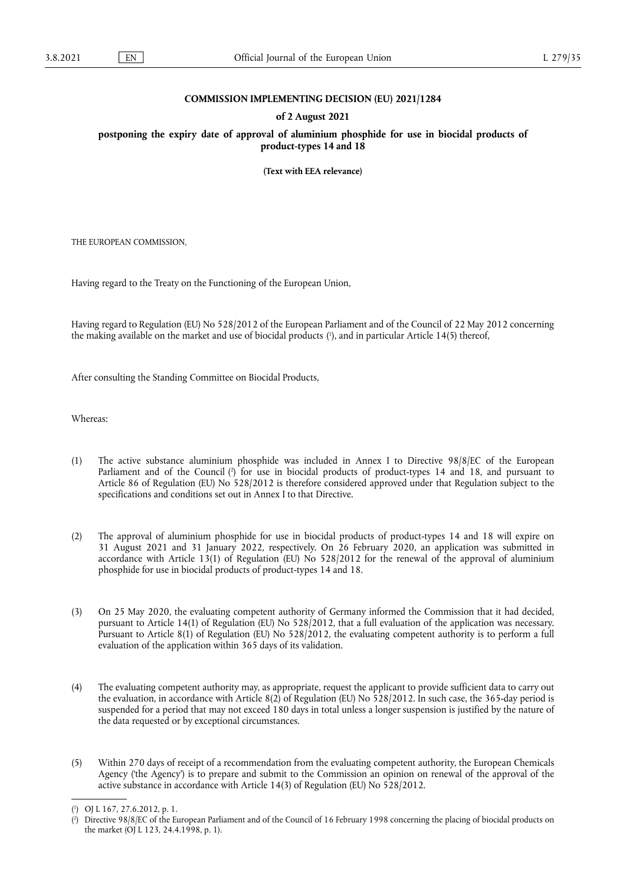## **COMMISSION IMPLEMENTING DECISION (EU) 2021/1284**

## **of 2 August 2021**

**postponing the expiry date of approval of aluminium phosphide for use in biocidal products of product-types 14 and 18** 

**(Text with EEA relevance)** 

THE EUROPEAN COMMISSION,

Having regard to the Treaty on the Functioning of the European Union,

<span id="page-0-2"></span>Having regard to Regulation (EU) No 528/2012 of the European Parliament and of the Council of 22 May 2012 concerning the making available on the market and use of biocidal products [\(](#page-0-0) 1 ), and in particular Article 14(5) thereof,

After consulting the Standing Committee on Biocidal Products,

Whereas:

- <span id="page-0-3"></span>(1) The active substance aluminium phosphide was included in Annex I to Directive 98/8/EC of the European Parliament and of the Council [\(](#page-0-1) 2 ) for use in biocidal products of product-types 14 and 18, and pursuant to Article 86 of Regulation (EU) No 528/2012 is therefore considered approved under that Regulation subject to the specifications and conditions set out in Annex I to that Directive.
- (2) The approval of aluminium phosphide for use in biocidal products of product-types 14 and 18 will expire on 31 August 2021 and 31 January 2022, respectively. On 26 February 2020, an application was submitted in accordance with Article 13(1) of Regulation (EU) No 528/2012 for the renewal of the approval of aluminium phosphide for use in biocidal products of product-types 14 and 18.
- (3) On 25 May 2020, the evaluating competent authority of Germany informed the Commission that it had decided, pursuant to Article 14(1) of Regulation (EU) No 528/2012, that a full evaluation of the application was necessary. Pursuant to Article 8(1) of Regulation (EU) No 528/2012, the evaluating competent authority is to perform a full evaluation of the application within 365 days of its validation.
- (4) The evaluating competent authority may, as appropriate, request the applicant to provide sufficient data to carry out the evaluation, in accordance with Article 8(2) of Regulation (EU) No 528/2012. In such case, the 365-day period is suspended for a period that may not exceed 180 days in total unless a longer suspension is justified by the nature of the data requested or by exceptional circumstances.
- (5) Within 270 days of receipt of a recommendation from the evaluating competent authority, the European Chemicals Agency ('the Agency') is to prepare and submit to the Commission an opinion on renewal of the approval of the active substance in accordance with Article 14(3) of Regulation (EU) No 528/2012.

<span id="page-0-0"></span>[<sup>\(</sup>](#page-0-2) 1 ) OJ L 167, 27.6.2012, p. 1.

<span id="page-0-1"></span>[<sup>\(</sup>](#page-0-3) 2 ) Directive 98/8/EC of the European Parliament and of the Council of 16 February 1998 concerning the placing of biocidal products on the market (OJ L 123, 24.4.1998, p. 1).